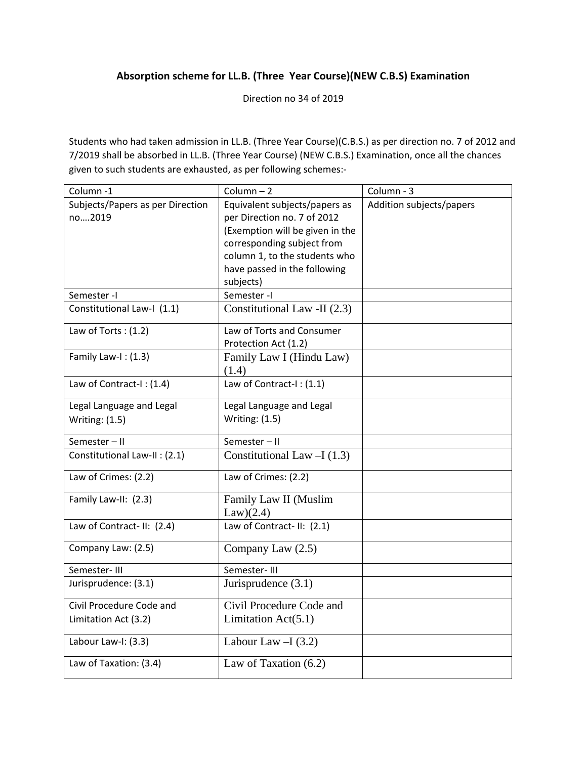## **Absorption scheme for LL.B. (Three Year Course)(NEW C.B.S) Examination**

Direction no 34 of 2019

Students who had taken admission in LL.B. (Three Year Course)(C.B.S.) as per direction no. 7 of 2012 and 7/2019 shall be absorbed in LL.B. (Three Year Course) (NEW C.B.S.) Examination, once all the chances given to such students are exhausted, as per following schemes:-

| Column-1                         | Column $-2$                     | Column - 3               |
|----------------------------------|---------------------------------|--------------------------|
| Subjects/Papers as per Direction | Equivalent subjects/papers as   | Addition subjects/papers |
| no2019                           | per Direction no. 7 of 2012     |                          |
|                                  | (Exemption will be given in the |                          |
|                                  | corresponding subject from      |                          |
|                                  | column 1, to the students who   |                          |
|                                  | have passed in the following    |                          |
|                                  | subjects)                       |                          |
| Semester -I                      | Semester -I                     |                          |
| Constitutional Law-I (1.1)       | Constitutional Law -II (2.3)    |                          |
| Law of Torts: $(1.2)$            | Law of Torts and Consumer       |                          |
|                                  | Protection Act (1.2)            |                          |
| Family Law-I: (1.3)              | Family Law I (Hindu Law)        |                          |
|                                  | (1.4)                           |                          |
| Law of Contract-I: (1.4)         | Law of Contract-I: (1.1)        |                          |
| Legal Language and Legal         | Legal Language and Legal        |                          |
| <b>Writing: (1.5)</b>            | <b>Writing: (1.5)</b>           |                          |
| Semester-II                      | Semester-II                     |                          |
| Constitutional Law-II : (2.1)    | Constitutional Law $-I(1.3)$    |                          |
| Law of Crimes: (2.2)             | Law of Crimes: (2.2)            |                          |
| Family Law-II: (2.3)             | Family Law II (Muslim           |                          |
|                                  | Law)(2.4)                       |                          |
| Law of Contract-II: (2.4)        | Law of Contract-II: (2.1)       |                          |
| Company Law: (2.5)               | Company Law (2.5)               |                          |
| Semester-III                     | Semester-III                    |                          |
| Jurisprudence: (3.1)             | Jurisprudence $(3.1)$           |                          |
| Civil Procedure Code and         | Civil Procedure Code and        |                          |
| Limitation Act (3.2)             | Limitation $Act(5.1)$           |                          |
| Labour Law-I: (3.3)              | Labour Law $-I(3.2)$            |                          |
| Law of Taxation: (3.4)           | Law of Taxation $(6.2)$         |                          |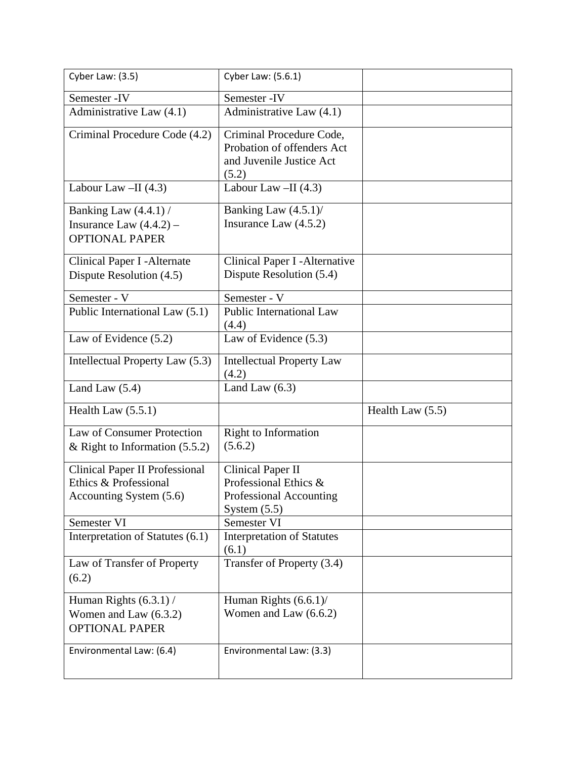| Cyber Law: (3.5)                                                                          | Cyber Law: (5.6.1)                                                                             |                  |
|-------------------------------------------------------------------------------------------|------------------------------------------------------------------------------------------------|------------------|
| Semester - IV                                                                             | Semester - IV                                                                                  |                  |
| Administrative Law (4.1)                                                                  | $\overline{\text{Admin}}$ istrative Law (4.1)                                                  |                  |
| Criminal Procedure Code (4.2)                                                             | Criminal Procedure Code,<br>Probation of offenders Act<br>and Juvenile Justice Act<br>(5.2)    |                  |
| Labour Law $-II$ (4.3)                                                                    | Labour Law $-II$ (4.3)                                                                         |                  |
| Banking Law (4.4.1) /<br>Insurance Law $(4.4.2)$ –<br><b>OPTIONAL PAPER</b>               | Banking Law (4.5.1)/<br>Insurance Law $(4.5.2)$                                                |                  |
| Clinical Paper I - Alternate<br>Dispute Resolution (4.5)                                  | Clinical Paper I - Alternative<br>Dispute Resolution (5.4)                                     |                  |
| Semester - V                                                                              | Semester - V                                                                                   |                  |
| Public International Law (5.1)                                                            | <b>Public International Law</b><br>(4.4)                                                       |                  |
| Law of Evidence (5.2)                                                                     | Law of Evidence (5.3)                                                                          |                  |
| Intellectual Property Law (5.3)                                                           | <b>Intellectual Property Law</b><br>(4.2)                                                      |                  |
|                                                                                           |                                                                                                |                  |
| Land Law $(5.4)$                                                                          | Land Law $(6.3)$                                                                               |                  |
| Health Law $(5.5.1)$                                                                      |                                                                                                | Health Law (5.5) |
| Law of Consumer Protection<br>& Right to Information $(5.5.2)$                            | <b>Right to Information</b><br>(5.6.2)                                                         |                  |
| <b>Clinical Paper II Professional</b><br>Ethics & Professional<br>Accounting System (5.6) | <b>Clinical Paper II</b><br>Professional Ethics &<br>Professional Accounting<br>System $(5.5)$ |                  |
| Semester VI                                                                               | Semester VI                                                                                    |                  |
| Interpretation of Statutes (6.1)                                                          | <b>Interpretation of Statutes</b><br>(6.1)                                                     |                  |
| Law of Transfer of Property<br>(6.2)                                                      | Transfer of Property (3.4)                                                                     |                  |
| Human Rights $(6.3.1)$ /<br>Women and Law $(6.3.2)$<br><b>OPTIONAL PAPER</b>              | Human Rights $(6.6.1)$ /<br>Women and Law $(6.6.2)$                                            |                  |